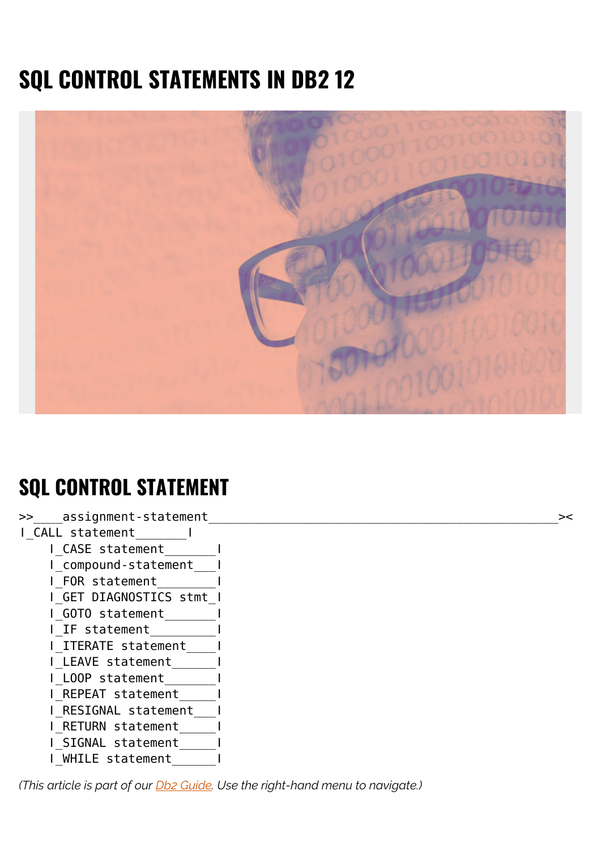# **SQL CONTROL STATEMENTS IN DB2 12**



## **SQL CONTROL STATEMENT**

>> assignment-statement ǀ\_CALL statement\_\_\_\_\_\_\_ǀ **□**CASE statement ǀ\_compound-statement\_\_\_ǀ ǀ\_FOR statement\_\_\_\_\_\_\_\_ǀ ǀ\_GET DIAGNOSTICS stmt\_ǀ ǀ\_GOTO statement\_\_\_\_\_\_\_ǀ ǀ\_IF statement\_\_\_\_\_\_\_\_\_ǀ ǀ\_ITERATE statement\_\_\_\_ǀ ǀ\_LEAVE statement\_\_\_\_\_\_ǀ ǀ\_LOOP statement\_\_\_\_\_\_\_ǀ ǀ\_REPEAT statement\_\_\_\_\_ǀ ǀ\_RESIGNAL statement\_\_\_ǀ ǀ\_RETURN statement\_\_\_\_\_ǀ ǀ\_SIGNAL statement\_\_\_\_\_ǀ ǀ\_WHILE statement\_\_\_\_\_\_ǀ

*(This article is part of our [Db2 Guide.](https://blogs.bmc.com/blogs/db2-introduction/) Use the right-hand menu to navigate.)*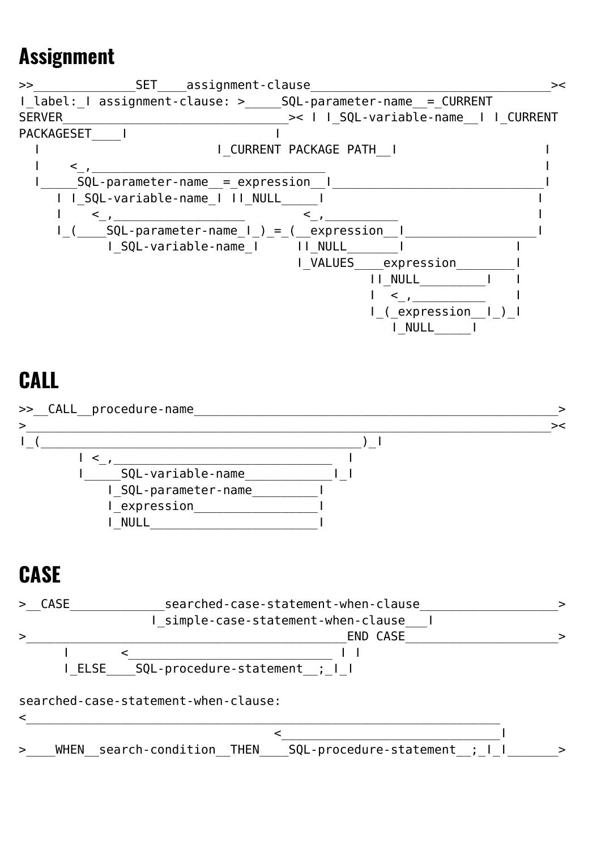### **Assignment**

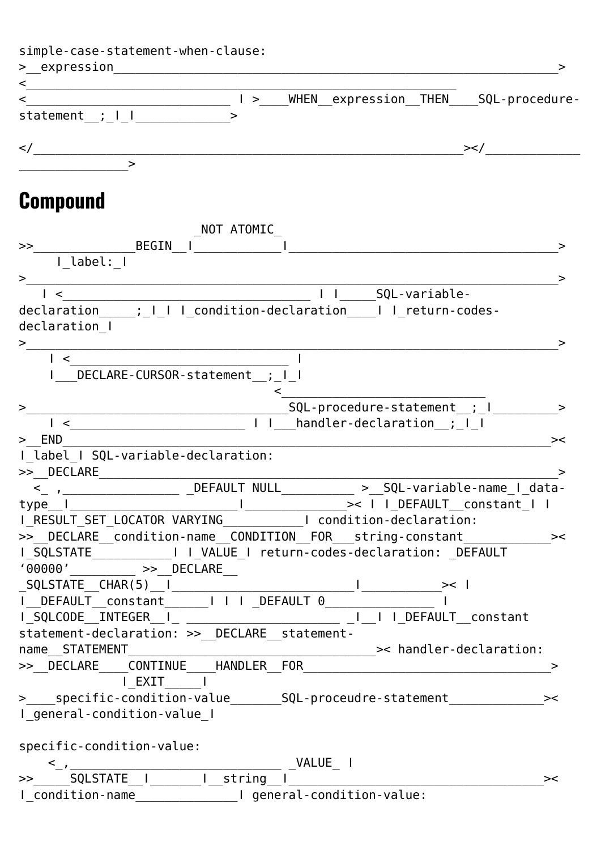| simple-case-statement-when-clause: |              |            |  |                                               |
|------------------------------------|--------------|------------|--|-----------------------------------------------|
| > expression                       |              |            |  |                                               |
| $\lt$                              |              |            |  |                                               |
| $\lt$                              |              |            |  | >____WHEN__expression__THEN____SQL-procedure- |
| statement $, -1$                   |              | ⋗          |  |                                               |
| $\lt/$                             |              |            |  | > </td                                        |
|                                    | >            |            |  |                                               |
| <b>Compound</b>                    |              |            |  |                                               |
|                                    |              | NOT ATOMIC |  |                                               |
| $\gt$                              | <b>BEGIN</b> |            |  |                                               |

| I label: I                                                                                                           |                                                                                                                                                                                                                                      |
|----------------------------------------------------------------------------------------------------------------------|--------------------------------------------------------------------------------------------------------------------------------------------------------------------------------------------------------------------------------------|
| >                                                                                                                    | ⋗                                                                                                                                                                                                                                    |
| $\sim$ $\sim$ $\sim$ $\sim$                                                                                          |                                                                                                                                                                                                                                      |
|                                                                                                                      | declaration_____;       condition-declaration____    _return-codes-                                                                                                                                                                  |
| declaration I                                                                                                        |                                                                                                                                                                                                                                      |
|                                                                                                                      | ⋗                                                                                                                                                                                                                                    |
| $\frac{1}{1}$                                                                                                        |                                                                                                                                                                                                                                      |
| I DECLARE-CURSOR-statement ; I I                                                                                     |                                                                                                                                                                                                                                      |
|                                                                                                                      |                                                                                                                                                                                                                                      |
|                                                                                                                      |                                                                                                                                                                                                                                      |
|                                                                                                                      |                                                                                                                                                                                                                                      |
| > END                                                                                                                | ><                                                                                                                                                                                                                                   |
|                                                                                                                      |                                                                                                                                                                                                                                      |
| I label I SQL-variable-declaration:                                                                                  |                                                                                                                                                                                                                                      |
|                                                                                                                      |                                                                                                                                                                                                                                      |
|                                                                                                                      | <_ , _______________ _DEFAULT NULL ________ > _SQL-variable-name_I_data-                                                                                                                                                             |
|                                                                                                                      |                                                                                                                                                                                                                                      |
|                                                                                                                      |                                                                                                                                                                                                                                      |
|                                                                                                                      | >> DECLARE _condition-name _CONDITION _FOR ___ string-constant _____________><                                                                                                                                                       |
|                                                                                                                      |                                                                                                                                                                                                                                      |
| $\sqrt{00000}$ $\sqrt{20000}$ $\rightarrow$ $\sqrt{20000}$ $\rightarrow$ $\sqrt{20000}$ $\rightarrow$ $\sqrt{20000}$ |                                                                                                                                                                                                                                      |
|                                                                                                                      |                                                                                                                                                                                                                                      |
|                                                                                                                      | I_DEFAULT_constant______I I I _DEFAULT 0____________________I                                                                                                                                                                        |
|                                                                                                                      |                                                                                                                                                                                                                                      |
|                                                                                                                      | statement-declaration: >> _DECLARE __ statement-                                                                                                                                                                                     |
| name STATEMENT                                                                                                       |                                                                                                                                                                                                                                      |
|                                                                                                                      | _________________________________>< handler-declaration:                                                                                                                                                                             |
|                                                                                                                      |                                                                                                                                                                                                                                      |
| $ $ EXIT $ $                                                                                                         |                                                                                                                                                                                                                                      |
| $>$ $\sim$                                                                                                           | _specific-condition-value__________SQL-proceudre-statement_<br>><                                                                                                                                                                    |
| I_general-condition-value_I                                                                                          |                                                                                                                                                                                                                                      |
|                                                                                                                      |                                                                                                                                                                                                                                      |
| specific-condition-value:                                                                                            |                                                                                                                                                                                                                                      |
|                                                                                                                      |                                                                                                                                                                                                                                      |
|                                                                                                                      | \\begin{\sigma_{\sigma_{\sigma_{\sigma_{\sigma_{\sigma_{\sigma_{\sigma_{\sigma_{\sigma_{\sigma_{\sigma_{\sigma_{\sigma_{\sigma_{\sigma_{\sigma_{\sigma_{\sigma_{\sigma_{\sigma_{\sigma_{\sigma_{\sigma_{\sigma_{\sigma_{\sigma<br>>< |
|                                                                                                                      |                                                                                                                                                                                                                                      |
|                                                                                                                      |                                                                                                                                                                                                                                      |
|                                                                                                                      |                                                                                                                                                                                                                                      |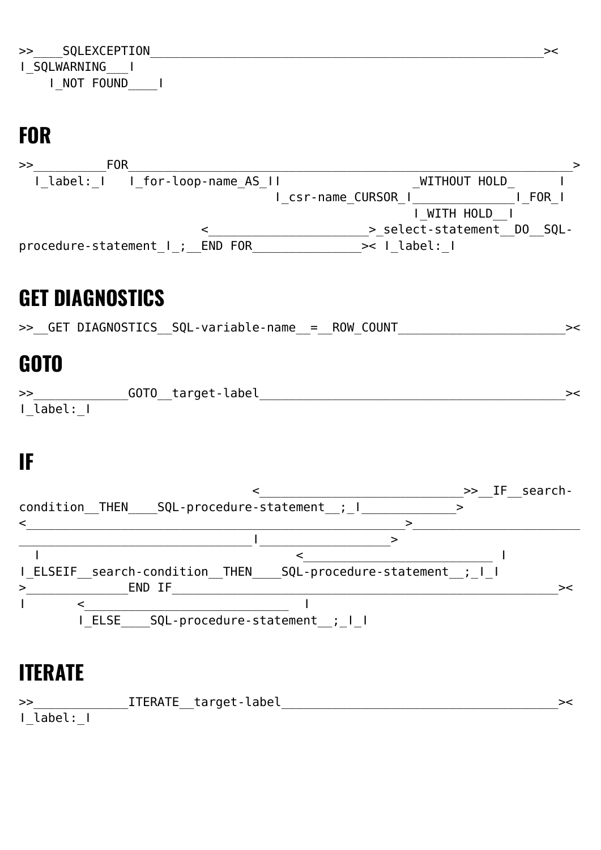### **FOR**



## **GET DIAGNOSTICS**

>>\_\_GET DIAGNOSTICS\_\_SQL-variable-name\_\_=\_\_ROW\_COUNT\_\_\_\_\_\_\_\_\_\_\_\_\_\_\_\_\_\_\_\_\_\_\_\_\_\_\_\_

### **GOTO**

| >>       | GOTO_target-label_ |  |
|----------|--------------------|--|
| I label: |                    |  |

## **IF**



#### **ITERATE**

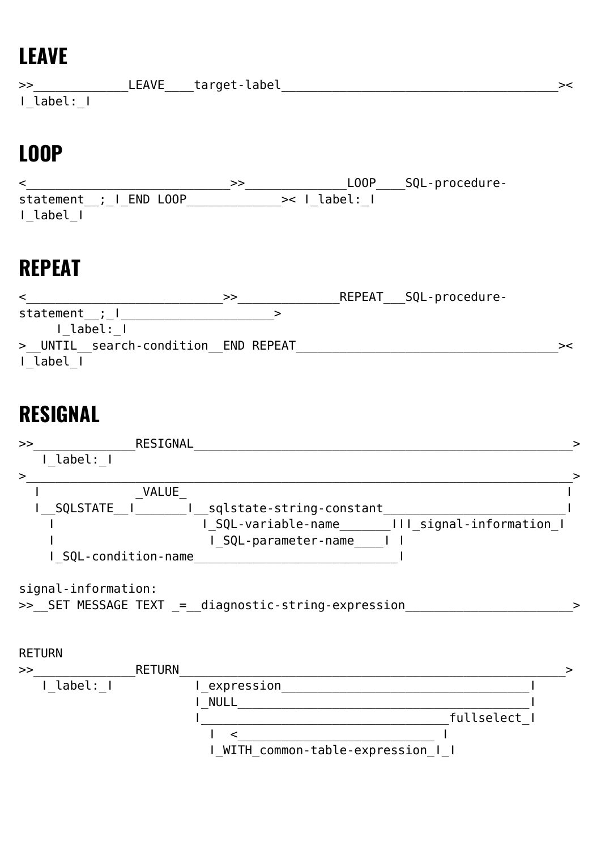## **LEAVE**

| $\gt$      | __LEAVE____target-label_ |  |
|------------|--------------------------|--|
| I label: I |                          |  |

## **LOOP**

<\_\_\_\_\_\_\_\_\_\_\_\_\_\_\_\_\_\_\_\_\_\_\_\_\_\_\_\_>>\_\_\_\_\_\_\_\_\_\_\_\_\_\_LOOP\_\_\_\_SQL-procedurestatement\_\_;\_ǀ\_END LOOP\_\_\_\_\_\_\_\_\_\_\_\_\_>< ǀ\_label:\_ǀ ǀ\_label\_ǀ

## **REPEAT**

| ≺                                   | >> | REPEAT SQL-procedure- |    |
|-------------------------------------|----|-----------------------|----|
| statement ; I                       |    |                       |    |
| I label: I                          |    |                       |    |
| > UNTIL search-condition END REPEAT |    |                       | >< |
| I label                             |    |                       |    |

## **RESIGNAL**

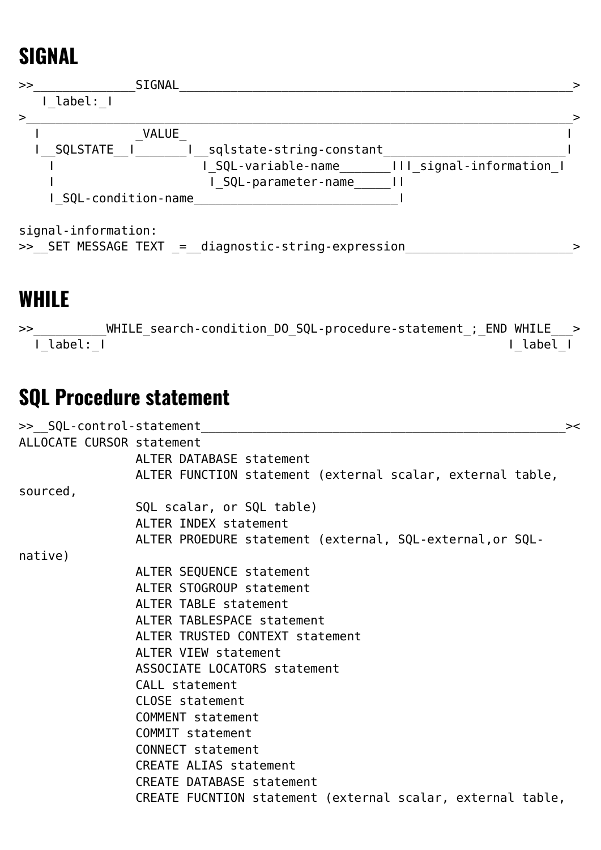### **SIGNAL**



signal-information:

```
>>_SET MESSAGE TEXT _=__diagnostic-string-expression_________________________>
```
#### **WHILE**

>>\_\_\_\_\_\_\_\_\_\_WHILE\_search-condition\_DO\_SQL-procedure-statement\_;\_END WHILE\_\_\_> ǀ\_label:\_ǀ ǀ\_label\_ǀ

### **SQL Procedure statement**

| >> SQL-control-statement  |                                                             | >< |
|---------------------------|-------------------------------------------------------------|----|
| ALLOCATE CURSOR statement |                                                             |    |
|                           | ALTER DATABASE statement                                    |    |
|                           | ALTER FUNCTION statement (external scalar, external table,  |    |
| sourced,                  |                                                             |    |
|                           | SQL scalar, or SQL table)                                   |    |
|                           | ALTER INDEX statement                                       |    |
|                           | ALTER PROEDURE statement (external, SQL-external, or SQL-   |    |
| native)                   |                                                             |    |
|                           | ALTER SEQUENCE statement                                    |    |
|                           | ALTER STOGROUP statement                                    |    |
|                           | ALTER TABLE statement                                       |    |
|                           | ALTER TABLESPACE statement                                  |    |
|                           | ALTER TRUSTED CONTEXT statement                             |    |
|                           | ALTER VIEW statement                                        |    |
|                           | ASSOCIATE LOCATORS statement                                |    |
|                           | CALL statement                                              |    |
|                           | CLOSE statement                                             |    |
|                           | COMMENT statement                                           |    |
|                           | COMMIT statement                                            |    |
|                           | CONNECT statement                                           |    |
|                           | CREATE ALIAS statement                                      |    |
|                           | <b>CREATE DATABASE statement</b>                            |    |
|                           | CREATE FUCNTION statement (external scalar, external table, |    |
|                           |                                                             |    |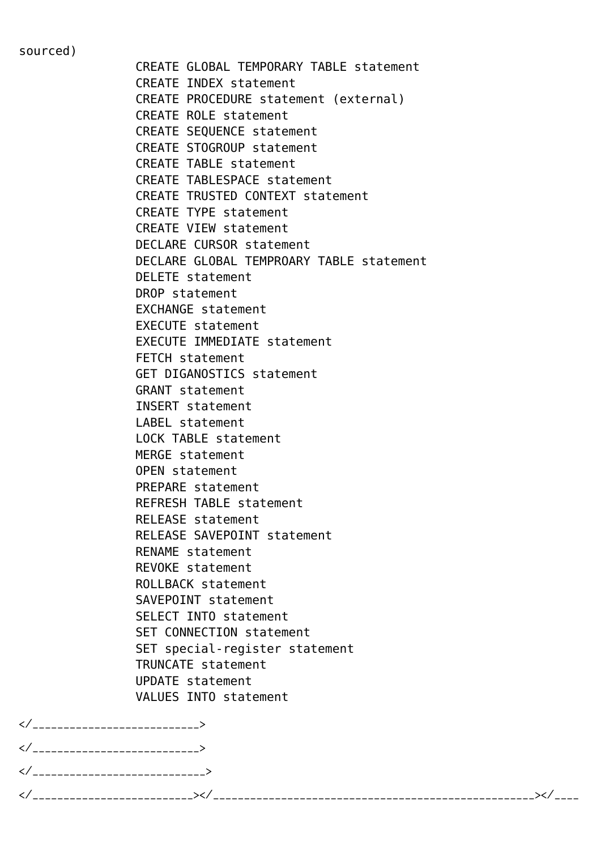sourced)

 CREATE GLOBAL TEMPORARY TABLE statement CREATE INDEX statement CREATE PROCEDURE statement (external) CREATE ROLE statement CREATE SEQUENCE statement CREATE STOGROUP statement CREATE TABLE statement CREATE TABLESPACE statement CREATE TRUSTED CONTEXT statement CREATE TYPE statement CREATE VIEW statement DECLARE CURSOR statement DECLARE GLOBAL TEMPROARY TABLE statement DELETE statement DROP statement EXCHANGE statement EXECUTE statement EXECUTE IMMEDIATE statement FETCH statement GET DIGANOSTICS statement GRANT statement INSERT statement LABEL statement LOCK TABLE statement MERGE statement OPEN statement PREPARE statement REFRESH TABLE statement RELEASE statement RELEASE SAVEPOINT statement RENAME statement REVOKE statement ROLLBACK statement SAVEPOINT statement SELECT INTO statement SET CONNECTION statement SET special-register statement TRUNCATE statement UPDATE statement VALUES INTO statement

| ∼.      |  |
|---------|--|
| ╱<br>`  |  |
| ╱<br>∼. |  |
| ╱       |  |